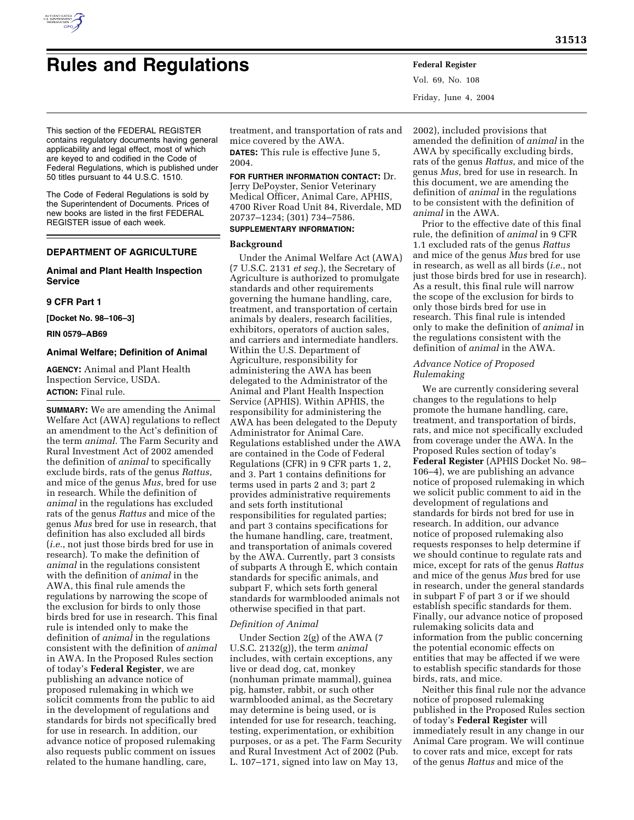

Vol. 69, No. 108 Friday, June 4, 2004

This section of the FEDERAL REGISTER contains regulatory documents having general applicability and legal effect, most of which are keyed to and codified in the Code of Federal Regulations, which is published under 50 titles pursuant to 44 U.S.C. 1510.

The Code of Federal Regulations is sold by the Superintendent of Documents. Prices of new books are listed in the first FEDERAL REGISTER issue of each week.

# **DEPARTMENT OF AGRICULTURE**

## **Animal and Plant Health Inspection Service**

### **9 CFR Part 1**

**[Docket No. 98–106–3]** 

**RIN 0579–AB69** 

### **Animal Welfare; Definition of Animal**

**AGENCY:** Animal and Plant Health Inspection Service, USDA. **ACTION:** Final rule.

**SUMMARY:** We are amending the Animal Welfare Act (AWA) regulations to reflect an amendment to the Act's definition of the term *animal.* The Farm Security and Rural Investment Act of 2002 amended the definition of *animal* to specifically exclude birds, rats of the genus *Rattus*, and mice of the genus *Mus*, bred for use in research. While the definition of *animal* in the regulations has excluded rats of the genus *Rattus* and mice of the genus *Mus* bred for use in research, that definition has also excluded all birds (*i.e.*, not just those birds bred for use in research). To make the definition of *animal* in the regulations consistent with the definition of *animal* in the AWA, this final rule amends the regulations by narrowing the scope of the exclusion for birds to only those birds bred for use in research. This final rule is intended only to make the definition of *animal* in the regulations consistent with the definition of *animal* in AWA. In the Proposed Rules section of today's **Federal Register**, we are publishing an advance notice of proposed rulemaking in which we solicit comments from the public to aid in the development of regulations and standards for birds not specifically bred for use in research. In addition, our advance notice of proposed rulemaking also requests public comment on issues related to the humane handling, care,

treatment, and transportation of rats and mice covered by the AWA.

**DATES:** This rule is effective June 5, 2004.

**FOR FURTHER INFORMATION CONTACT:** Dr. Jerry DePoyster, Senior Veterinary

Medical Officer, Animal Care, APHIS, 4700 River Road Unit 84, Riverdale, MD 20737–1234; (301) 734–7586.

# **SUPPLEMENTARY INFORMATION:**

## **Background**

Under the Animal Welfare Act (AWA) (7 U.S.C. 2131 *et seq.*), the Secretary of Agriculture is authorized to promulgate standards and other requirements governing the humane handling, care, treatment, and transportation of certain animals by dealers, research facilities, exhibitors, operators of auction sales, and carriers and intermediate handlers. Within the U.S. Department of Agriculture, responsibility for administering the AWA has been delegated to the Administrator of the Animal and Plant Health Inspection Service (APHIS). Within APHIS, the responsibility for administering the AWA has been delegated to the Deputy Administrator for Animal Care. Regulations established under the AWA are contained in the Code of Federal Regulations (CFR) in 9 CFR parts 1, 2, and 3. Part 1 contains definitions for terms used in parts 2 and 3; part 2 provides administrative requirements and sets forth institutional responsibilities for regulated parties; and part 3 contains specifications for the humane handling, care, treatment, and transportation of animals covered by the AWA. Currently, part 3 consists of subparts A through E, which contain standards for specific animals, and subpart F, which sets forth general standards for warmblooded animals not otherwise specified in that part.

#### *Definition of Animal*

Under Section 2(g) of the AWA (7 U.S.C. 2132(g)), the term *animal* includes, with certain exceptions, any live or dead dog, cat, monkey (nonhuman primate mammal), guinea pig, hamster, rabbit, or such other warmblooded animal, as the Secretary may determine is being used, or is intended for use for research, teaching, testing, experimentation, or exhibition purposes, or as a pet. The Farm Security and Rural Investment Act of 2002 (Pub. L. 107–171, signed into law on May 13,

2002), included provisions that amended the definition of *animal* in the AWA by specifically excluding birds, rats of the genus *Rattus*, and mice of the genus *Mus*, bred for use in research. In this document, we are amending the definition of *animal* in the regulations to be consistent with the definition of *animal* in the AWA.

Prior to the effective date of this final rule, the definition of *animal* in 9 CFR 1.1 excluded rats of the genus *Rattus* and mice of the genus *Mus* bred for use in research, as well as all birds (*i.e.*, not just those birds bred for use in research). As a result, this final rule will narrow the scope of the exclusion for birds to only those birds bred for use in research. This final rule is intended only to make the definition of *animal* in the regulations consistent with the definition of *animal* in the AWA.

## *Advance Notice of Proposed Rulemaking*

We are currently considering several changes to the regulations to help promote the humane handling, care, treatment, and transportation of birds, rats, and mice not specifically excluded from coverage under the AWA. In the Proposed Rules section of today's **Federal Register** (APHIS Docket No. 98– 106–4), we are publishing an advance notice of proposed rulemaking in which we solicit public comment to aid in the development of regulations and standards for birds not bred for use in research. In addition, our advance notice of proposed rulemaking also requests responses to help determine if we should continue to regulate rats and mice, except for rats of the genus *Rattus* and mice of the genus *Mus* bred for use in research, under the general standards in subpart F of part 3 or if we should establish specific standards for them. Finally, our advance notice of proposed rulemaking solicits data and information from the public concerning the potential economic effects on entities that may be affected if we were to establish specific standards for those birds, rats, and mice.

Neither this final rule nor the advance notice of proposed rulemaking published in the Proposed Rules section of today's **Federal Register** will immediately result in any change in our Animal Care program. We will continue to cover rats and mice, except for rats of the genus *Rattus* and mice of the